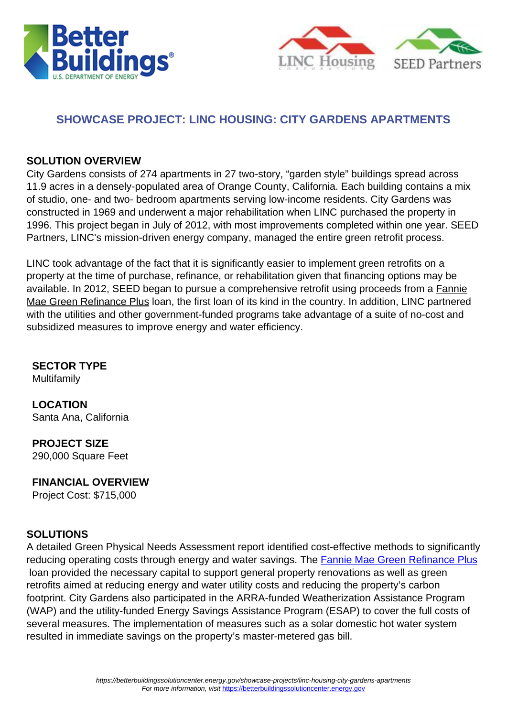



### **SHOWCASE PROJECT: LINC HOUSING: CITY GARDENS APARTMENTS**

#### **SOLUTION OVERVIEW**

City Gardens consists of 274 apartments in 27 two-story, "garden style" buildings spread across 11.9 acres in a densely-populated area of Orange County, California. Each building contains a mix of studio, one- and two- bedroom apartments serving low-income residents. City Gardens was constructed in 1969 and underwent a major rehabilitation when LINC purchased the property in 1996. This project began in July of 2012, with most improvements completed within one year. SEED Partners, LINC's mission-driven energy company, managed the entire green retrofit process.

LINC took advantage of the fact that it is significantly easier to implement green retrofits on a property at the time of purchase, refinance, or rehabilitation given that financing options may be available. In 2012, SEED began to pursue a comprehensive retrofit using proceeds from a [Fannie](https://www.fanniemae.com/multifamily/green-initiative) [Mae Green Refinance Plus](https://www.fanniemae.com/multifamily/green-initiative) loan, the first loan of its kind in the country. In addition, LINC partnered with the utilities and other government-funded programs take advantage of a suite of no-cost and subsidized measures to improve energy and water efficiency.

**SECTOR TYPE** Multifamily

**LOCATION** Santa Ana, California

**PROJECT SIZE** 290,000 Square Feet

#### **FINANCIAL OVERVIEW**

Project Cost: \$715,000

#### **SOLUTIONS**

A detailed Green Physical Needs Assessment report identified cost-effective methods to significantly reducing operating costs through energy and water savings. The [Fannie Mae Green Refinance Plus](https://www.fanniemae.com/multifamily/green-initiative) loan provided the necessary capital to support general property renovations as well as green retrofits aimed at reducing energy and water utility costs and reducing the property's carbon footprint. City Gardens also participated in the ARRA-funded Weatherization Assistance Program (WAP) and the utility-funded Energy Savings Assistance Program (ESAP) to cover the full costs of several measures. The implementation of measures such as a solar domestic hot water system resulted in immediate savings on the property's master-metered gas bill.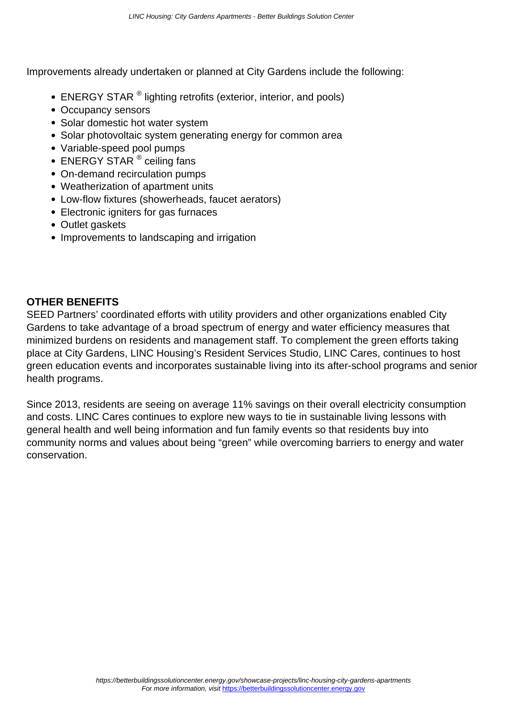Improvements already undertaken or planned at City Gardens include the following:

- ENERGY STAR <sup>®</sup> lighting retrofits (exterior, interior, and pools)
- Occupancy sensors
- Solar domestic hot water system
- Solar photovoltaic system generating energy for common area
- Variable-speed pool pumps
- ENERGY STAR ® ceiling fans
- On-demand recirculation pumps
- Weatherization of apartment units
- Low-flow fixtures (showerheads, faucet aerators)
- Electronic igniters for gas furnaces
- Outlet gaskets
- Improvements to landscaping and irrigation

#### **OTHER BENEFITS**

SEED Partners' coordinated efforts with utility providers and other organizations enabled City Gardens to take advantage of a broad spectrum of energy and water efficiency measures that minimized burdens on residents and management staff. To complement the green efforts taking place at City Gardens, LINC Housing's Resident Services Studio, LINC Cares, continues to host green education events and incorporates sustainable living into its after-school programs and senior health programs.

Since 2013, residents are seeing on average 11% savings on their overall electricity consumption and costs. LINC Cares continues to explore new ways to tie in sustainable living lessons with general health and well being information and fun family events so that residents buy into community norms and values about being "green" while overcoming barriers to energy and water conservation.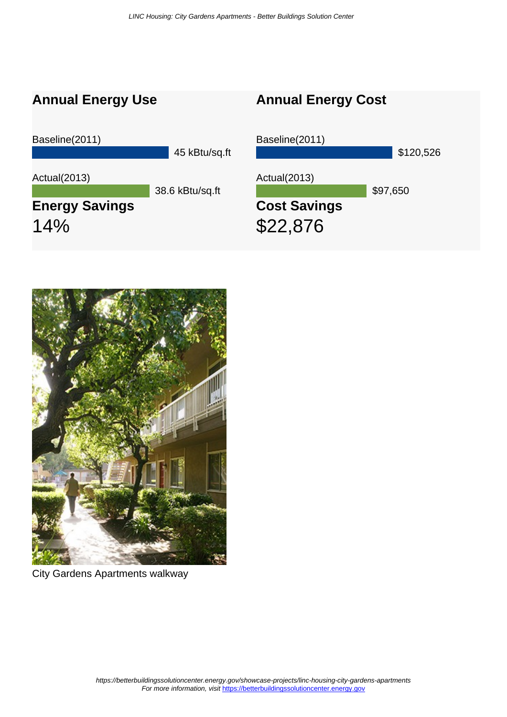## **Annual Energy Use**

# **Annual Energy Cost**





City Gardens Apartments walkway